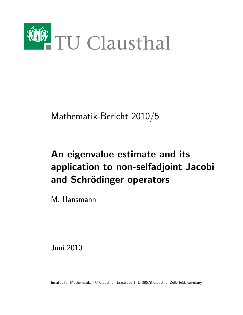

Mathematik-Bericht 2010/5

# An eigenvalue estimate and its application to non-selfadjoint Jacobi and Schrödinger operators

M. Hansmann

Juni 2010

Institut für Mathematik, TU Clausthal, Erzstraße 1, D-38678 Clausthal-Zellerfeld, Germany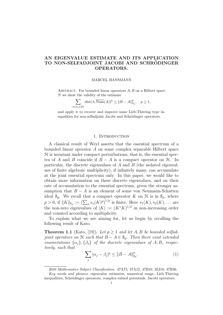## AN EIGENVALUE ESTIMATE AND ITS APPLICATION TO NON-SELFADJOINT JACOBI AND SCHRÖDINGER OPERATORS.

#### MARCEL HANSMANN

ABSTRACT. For bounded linear operators  $A, B$  on a Hilbert space H we show the validity of the estimate

$$
\sum_{\lambda \in \sigma_d(B)} \text{dist}(\lambda, \overline{\text{Num}}(A))^p \le \|B - A\|_{\mathcal{S}_p}^p, \quad p \ge 1,
$$

and apply it to recover and improve some Lieb-Thirring type inequalities for non-selfadjoint Jacobi and Schrödinger operators.

#### 1. INTRODUCTION

A classical result of Weyl asserts that the essential spectrum of a bounded linear operator A on some complex separable Hilbert space  $H$  is invariant under compact perturbations, that is, the essential spectra of A and B coincide if  $B - A$  is a compact operator on  $\mathcal{H}$ . In particular, the discrete eigenvalues of  $A$  and  $B$  (the isolated eigenvalues of finite algebraic multiplicity), if infinitely many, can accumulate at the joint essential spectrum only. In this paper, we would like to obtain more information on these discrete eigenvalues, and on their rate of accumulation to the essential spectrum, given the stronger assumption that  $B - A$  is an element of some von Neumann-Schatten ideal  $S_p$ . We recall that a compact operator K on  $\mathcal H$  is in  $S_p$ , where  $p > 0$ , if  $||K||_{s_p} := (\sum_n s_n(K)^p)^{1/p}$  is finite. Here  $s_1(K), s_2(K), \ldots$  are the non-zero eigenvalues of  $|K| := (K^*K)^{1/2}$  in non-increasing order and counted according to multiplicity.

To explain what we are aiming for, let us begin by recalling the following result of Kato.

**Theorem 1.1** (Kato, [19]). Let  $p \ge 1$  and let A, B be bounded selfadjoint operators on  $\mathfrak H$  such that  $B - A \in \mathcal S_p$ . Then there exist extended enumerations  $\{\alpha_j\}, \{\beta_j\}$  of the discrete eigenvalues of A, B, respectively, such that

$$
\sum_{j} |\alpha_{j} - \beta_{j}|^{p} \le ||B - A||_{s_{p}}^{p}.
$$
 (1)

<sup>2010</sup> Mathematics Subject Classification. 47A75, 47A12, 47B10, 35J10, 47B36. Key words and phrases. eigenvalue estimates, numerical range, Lieb-Thirring inequalities, Schrödinger operators, complex-valued potentials, Jacobi operators.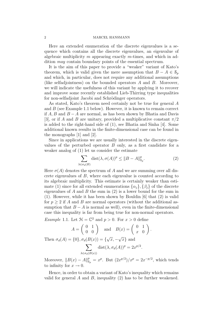#### 2 MARCEL HANSMANN

Here an extended enumeration of the discrete eigenvalues is a sequence which contains all the discrete eigenvalues, an eigenvalue of algebraic multiplicity m appearing exactly m-times, and which in addition may contain boundary points of the essential spectrum.

It is the aim of this paper to provide a "weaker" variant of Kato's theorem, which is valid given the mere assumption that  $B - A \in \mathcal{S}_p$ and which, in particular, does not require any additional assumptions (like selfadjointness) on the bounded operators A and B. Moreover, we will indicate the usefulness of this variant by applying it to recover and improve some recently established Lieb-Thirring type inequalities for non-selfadjoint Jacobi and Schrödinger operators.

As stated, Kato's theorem need certainly not be true for general A and  $B$  (see Example 1.1 below). However, it is known to remain correct if  $A, B$  and  $B - A$  are normal, as has been shown by Bhatia and Davis [3], or if A and B are unitary, provided a multiplicative constant  $\pi/2$ is added to the right-hand side of (1), see Bhatia and Sinha [4]. Some additional known results in the finite-dimensional case can be found in the monographs [1] and [2].

Since in applications we are usually interested in the discrete eigenvalues of the perturbed operator B only, as a first candidate for a weaker analog of (1) let us consider the estimate

$$
\sum_{\lambda \in \sigma_d(B)} \text{dist}(\lambda, \sigma(A))^p \le \|B - A\|_{\mathcal{S}_p}^p. \tag{2}
$$

Here  $\sigma(A)$  denotes the spectrum of A and we are summing over all discrete eigenvalues of B, where each eigenvalue is counted according to its algebraic multiplicity. This estimate is certainly weaker than estimate (1) since for all extended enumerations  $\{\alpha_i\}$ ,  $\{\beta_i\}$  of the discrete eigenvalues of A and B the sum in  $(2)$  is a lower bound for the sum in (1). However, while it has been shown by Bouldin [6] that (2) is valid for  $p \geq 2$  if A and B are normal operators (without the additional assumption that  $B - A$  is normal as well), even in the finite-dimensional case this inequality is far from being true for non-normal operators.

*Example 1.1.* Let  $\mathcal{H} = \mathbb{C}^2$  and  $p > 0$ . For  $x > 0$  define

$$
A = \begin{pmatrix} 0 & 1 \\ 0 & 0 \end{pmatrix} \text{ and } B(x) = \begin{pmatrix} 0 & 1 \\ x & 0 \end{pmatrix}.
$$
  
Then  $\sigma_d(A) = \{0\}, \sigma_d(B(x)) = \{\sqrt{x}, -\sqrt{x}\}\)$  and  

$$
\sum_{\lambda \in \sigma_d(B(x))} \text{dist}(\lambda, \sigma_d(A))^p = 2x^{p/2}.
$$

Moreover,  $||B(x) - A||_{\mathcal{S}_p}^p = x^p$ . But  $(2x^{p/2})/x^p = 2x^{-p/2}$ , which tends to infinity for  $x \to 0$ .

Hence, in order to obtain a variant of Kato's inequality which remains valid for general A and B, inequality  $(2)$  has to be further weakened.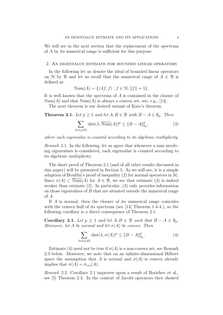We will see in the next section that the replacement of the spectrum of A by its numerical range is sufficient for this purpose.

#### 2. An eigenvalue estimate for bounded linear operators

In the following let us denote the ideal of bounded linear operators on H by B and let us recall that the numerical range of  $A \in \mathcal{B}$  is defined as

$$
\text{Num}(A) = \{ \langle Af, f \rangle : f \in \mathcal{H}, ||f|| = 1 \}.
$$

It is well known that the spectrum of A is contained in the closure of  $Num(A)$  and that  $Num(A)$  is always a convex set, see, e.g., [14].

The next theorem is our desired variant of Kato's theorem.

**Theorem 2.1.** Let  $p \geq 1$  and let  $A, B \in \mathcal{B}$  with  $B - A \in \mathcal{S}_p$ . Then

$$
\sum_{\lambda \in \sigma_d(B)} \text{dist}(\lambda, \overline{\text{Num}}(A))^p \le ||B - A||_{\mathcal{S}_p}^p,\tag{3}
$$

where each eigenvalue is counted according to its algebraic multiplicity.

Remark 2.1. In the following, let us agree that whenever a sum involving eigenvalues is considered, each eigenvalue is counted according to its algebraic multiplicity.

The short proof of Theorem 2.1 (and of all other results discussed in this paper) will be presented in Section 5. As we will see, it is a simple adaption of Bouldin's proof of inequality (2) for normal operators in [6]. Since  $\sigma(A) \subset \text{Num}(A)$  for  $A \in \mathcal{B}$ , we see that estimate (3) is indeed weaker than estimate (2). In particular, (3) only provides information on those eigenvalues of B that are situated outside the numerical range of A.

If A is normal, then the closure of its numerical range coincides with the convex hull of its spectrum (see [14] Theorem 1.4-4.), so the following corollary is a direct consequence of Theorem 2.1.

Corollary 2.1. Let  $p \ge 1$  and let  $A, B \in \mathcal{B}$  such that  $B - A \in \mathcal{S}_p$ . Moreover, let A be normal and let  $\sigma(A)$  be convex. Then

$$
\sum_{\lambda \in \sigma_d(B)} \text{dist}(\lambda, \sigma(A))^p \le \|B - A\|_{\mathcal{S}_p}^p. \tag{4}
$$

Estimate (4) need not be true if  $\sigma(A)$  is a non-convex set, see Remark 2.3 below. Moreover, we note that on an infinite-dimensional Hilbert space the assumption that A is normal and  $\sigma(A)$  is convex already implies that  $\sigma(A) = \sigma_{ess}(A)$ .

Remark 2.2. Corollary 2.1 improves upon a result of Borichev et al., see [5] Theorem 2.3. In the context of Jacobi operators they showed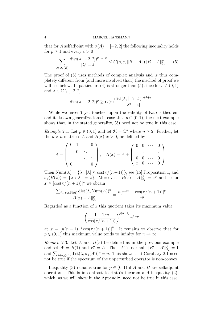that for A selfadjoint with  $\sigma(A) = [-2, 2]$  the following inequality holds for  $p > 1$  and every  $\varepsilon > 0$ 

$$
\sum_{\lambda \in \sigma_d(B)} \frac{\text{dist}(\lambda, [-2, 2])^{p+1+\varepsilon}}{|\lambda^2 - 4|} \le C(p, \varepsilon, \|B - A\|) \|B - A\|_{\mathcal{S}_p}^p. \tag{5}
$$

The proof of (5) uses methods of complex analysis and is thus completely different from (and more involved than) the method of proof we will use below. In particular, (4) is stronger than (5) since for  $\varepsilon \in (0,1)$ and  $\lambda \in \mathbb{C} \setminus [-2, 2]$ 

$$
dist(\lambda, [-2, 2])^{p} \ge C(\varepsilon) \frac{dist(\lambda, [-2, 2])^{p+1+\varepsilon}}{|\lambda^2 - 4|}.
$$

While we haven't yet touched upon the validity of Kato's theorem and its known generalizations in case that  $p \in (0, 1)$ , the next example shows that, in the stated generality, (3) need not be true in this case.

*Example* 2.1. Let  $p \in (0,1)$  and let  $\mathcal{H} = \mathbb{C}^n$  where  $n \geq 2$ . Further, let the  $n \times n$ -matrices A and  $B(x)$ ,  $x > 0$ , be defined by

$$
A = \begin{pmatrix} 0 & 1 & 0 \\ 0 & \ddots & \\ 0 & 0 & 1 \end{pmatrix}, \quad B(x) = A + \begin{pmatrix} 0 & 0 & \cdots & 0 \\ \vdots & \vdots & & \vdots \\ 0 & 0 & \cdots & 0 \\ x & 0 & \cdots & 0 \end{pmatrix}.
$$

Then  $\text{Num}(A) = \{\lambda : |\lambda| \leq \cos(\pi/(n+1))\}$ , see [15] Proposition 1, and  $\sigma_d(B(x)) = {\lambda : \lambda^n = x}.$  Moreover,  $||B(x) - A||_{s_p}^p = x^p$  and so for  $x \geq [\cos(\pi/(n+1))]^n$  we obtain

$$
\frac{\sum_{\lambda \in \sigma_d(B(x))} \text{dist}(\lambda, \text{Num}(A))^p}{\|B(x) - A\|_{\mathcal{S}_p}^p} = \frac{n[x^{1/n} - \cos(\pi/(n+1))]^p}{x^p}.
$$

Regarded as a function of  $x$  this quotient takes its maximum value

$$
\left(\frac{1 - 1/n}{\cos(\pi/(n+1))}\right)^{p(n-1)} n^{1-p}
$$

at  $x = [n(n-1)^{-1} \cos(\pi/(n+1))]^n$ . It remains to observe that for  $p \in (0, 1)$  this maximum value tends to infinity for  $n \to \infty$ .

*Remark* 2.3. Let A and  $B(x)$  be defined as in the previous example and set  $A' = B(1)$  and  $B' = A$ . Then A' is normal,  $||B' - A'||_{S_p}^p = 1$ and  $\sum_{\lambda \in \sigma_d(B')} \text{dist}(\lambda, \sigma_d(A'))^p = n$ . This shows that Corollary 2.1 need not be true if the spectrum of the unperturbed operator is non-convex.

Inequality (3) remains true for  $p \in (0,1)$  if A and B are selfadjoint operators. This is in contrast to Kato's theorem and inequality (2), which, as we will show in the Appendix, need not be true in this case.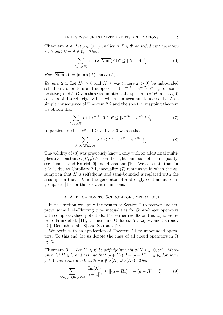**Theorem 2.2.** Let  $p \in (0,1)$  and let  $A, B \in \mathcal{B}$  be selfadjoint operators such that  $B - A \in \mathcal{S}_n$ . Then

$$
\sum_{\lambda \in \sigma_d(B)} \text{dist}(\lambda, \overline{\text{Num}}(A))^p \le \|B - A\|_{\mathcal{S}_p}^p. \tag{6}
$$

Here  $\overline{\text{Num}}(A) = [\min \sigma(A), \max \sigma(A)].$ 

Remark 2.4. Let  $H_0 \geq 0$  and  $H \geq -\omega$  (where  $\omega > 0$ ) be unbounded selfadjoint operators and suppose that  $e^{-tH} - e^{-tH_0} \in \mathcal{S}_p$  for some positive p and t. Given these assumptions the spectrum of H in  $(-\infty, 0)$ consists of discrete eigenvalues which can accumulate at 0 only. As a simple consequence of Theorem 2.2 and the spectral mapping theorem we obtain that

$$
\sum_{\lambda \in \sigma_d(H)} \text{dist}(e^{-t\lambda}, [0, 1])^p \le ||e^{-tH} - e^{-tH_0}||_{\mathcal{S}_p}^p. \tag{7}
$$

In particular, since  $e^x - 1 \geq x$  if  $x > 0$  we see that

$$
\sum_{\lambda \in \sigma_d(H), \lambda < 0} |\lambda|^p \le t^{-p} \|e^{-tH} - e^{-tH_0}\|_{\mathcal{S}_p}^p. \tag{8}
$$

The validity of (8) was previously known only with an additional multiplicative constant  $C(H, p) \geq 1$  on the right-hand side of the inequality, see Demuth and Katriel [9] and Hansmann [16]. We also note that for  $p \geq 1$ , due to Corollary 2.1, inequality (7) remains valid when the assumption that  $H$  is selfadjoint and semi-bounded is replaced with the assumption that  $-H$  is the generator of a strongly continuous semigroup, see [10] for the relevant definitions.

### 3. APPLICATION TO SCHRÖDINGER OPERATORS

In this section we apply the results of Section 2 to recover and improve some Lieb-Thirring type inequalities for Schrödinger operators with complex-valued potentials. For earlier results on this topic we refer to Frank et al. [11], Bruneau and Ouhabaz [7], Laptev and Safronov [21], Demuth et al. [8] and Safronov [23].

We begin with an application of Theorem 2.1 to unbounded operators. To this end, let us denote the class of all closed operators in H by C.

**Theorem 3.1.** Let  $H_0 \in \mathcal{C}$  be selfadjoint with  $\sigma(H_0) \subset [0,\infty)$ . Moreover, let  $H \in \mathcal{C}$  and assume that  $(a+H_0)^{-1} - (a+H)^{-1} \in \mathcal{S}_p$  for some  $p \ge 1$  and some  $a > 0$  with  $-a \notin \sigma(H) \cup \sigma(H_0)$ . Then

$$
\sum_{\lambda \in \sigma_d(H), \text{Re}(\lambda) > 0} \frac{|\operatorname{Im}(\lambda)|^p}{|\lambda + a|^{2p}} \le ||(a + H_0)^{-1} - (a + H)^{-1}||_{\mathcal{S}_p}^p. \tag{9}
$$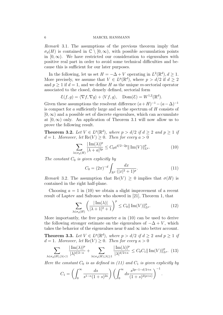Remark 3.1. The assumptions of the previous theorem imply that  $\sigma_d(H)$  is contained in  $\mathbb{C} \setminus [0,\infty)$ , with possible accumulation points in  $[0, \infty)$ . We have restricted our consideration to eigenvalues with positive real part in order to avoid some technical difficulties and because this is sufficient for our later purposes.

In the following, let us set  $H = -\Delta + V$  operating in  $L^2(\mathbb{R}^d)$ ,  $d \geq 1$ . More precisely, we assume that  $V \in L^p(\mathbb{R}^d)$ , where  $p > d/2$  if  $d \geq 2$ and  $p \geq 1$  if  $d = 1$ , and we define H as the unique m-sectorial operator associated to the closed, densely defined, sectorial form

$$
\mathcal{E}(f,g) = \langle \nabla f, \nabla g \rangle + \langle Vf, g \rangle, \quad \text{Dom}(\mathcal{E}) = W^{1,2}(\mathbb{R}^d).
$$

Given these assumptions the resolvent difference  $(a+H)^{-1} - (a-\Delta)^{-1}$ is compact for a sufficiently large and so the spectrum of H consists of  $[0, \infty)$  and a possible set of discrete eigenvalues, which can accumulate at  $[0, \infty)$  only. An application of Theorem 3.1 will now allow us to prove the following result.

**Theorem 3.2.** Let  $V \in L^p(\mathbb{R}^d)$ , where  $p > d/2$  if  $d \geq 2$  and  $p \geq 1$  if  $d = 1$ . Moreover, let  $\text{Re}(V) \geq 0$ . Then for every  $a > 0$ 

$$
\sum_{\lambda \in \sigma_d(H)} \frac{|\operatorname{Im}(\lambda)|^p}{|\lambda + a|^{2p}} \le C_0 a^{d/2 - 2p} \|\operatorname{Im}(V)\|_{L^p}^p. \tag{10}
$$

The constant  $C_0$  is given explicitly by

$$
C_0 = (2\pi)^{-d} \int_{\mathbb{R}^d} \frac{dx}{(|x|^2 + 1)^p}.
$$
 (11)

Remark 3.2. The assumption that  $\text{Re}(V) > 0$  implies that  $\sigma(H)$  is contained in the right half-plane.

Choosing  $a = 1$  in (10) we obtain a slight improvement of a recent result of Laptev and Safronov who showed in [21], Theorem 1, that

$$
\sum_{\lambda \in \sigma_d(H)} \left( \frac{|\operatorname{Im}(\lambda)|}{|\lambda + 1|^2 + 1} \right)^p \le C_0 ||\operatorname{Im}(V)||_{L^p}^p. \tag{12}
$$

.

More importantly, the free parameter  $a$  in (10) can be used to derive the following stronger estimate on the eigenvalues of  $-\Delta + V$ , which takes the behavior of the eigenvalues near 0 and  $\infty$  into better account.

**Theorem 3.3.** Let  $V \in L^p(\mathbb{R}^d)$ , where  $p > d/2$  if  $d \geq 2$  and  $p \geq 1$  if  $d = 1$ . Moreover, let  $\text{Re}(V) \geq 0$ . Then for every  $\kappa > 0$ 

$$
\sum_{\lambda \in \sigma_d(H), |\lambda| < 1} \frac{|\operatorname{Im}(\lambda)|^p}{|\lambda|^{d/2 - \kappa}} + \sum_{\lambda \in \sigma_d(H), |\lambda| \ge 1} \frac{|\operatorname{Im}(\lambda)|^p}{|\lambda|^{d/2 + \kappa}} \le C_0 C_1 \|\operatorname{Im}(V)\|_{L^p}^p. (13)
$$

Here the constant  $C_0$  is as defined in (11) and  $C_1$  is given explicitly by

$$
C_1 = \left( \int_0^\infty \frac{ds}{s^{1-\kappa}(1+s)^{2\kappa}} \right) \left( \int_0^\infty ds \frac{s^{2p-1-d/2+\kappa}}{(1+s)^{2(p+\kappa)}} \right)^{-1}
$$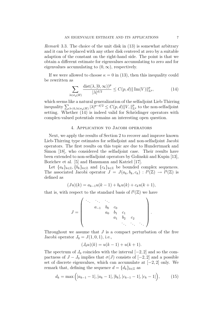*Remark* 3.3. The choice of the unit disk in  $(13)$  is somewhat arbitrary and it can be replaced with any other disk centered at zero by a suitable adaption of the constant on the right-hand side. The point is that we obtain a different estimate for eigenvalues accumulating to zero and for eigenvalues accumulating to  $(0, \infty)$ , respectively.

If we were allowed to choose  $\kappa = 0$  in (13), then this inequality could be rewritten as

$$
\sum_{\lambda \in \sigma_d(H)} \frac{\text{dist}(\lambda, [0, \infty))^p}{|\lambda|^{d/2}} \le C(p, d) ||\operatorname{Im}(V)||^p_{L^p},\tag{14}
$$

which seems like a natural generalization of the selfadjoint Lieb-Thirring inequality  $\sum_{\lambda \leq 0, \lambda \in \sigma_d(H)} |\lambda|^{p-d/2} \leq C(p, d) ||V_-||_{L^p}^p$  to the non-selfadjoint setting. Whether  $(14)$  is indeed valid for Schrödinger operators with complex-valued potentials remains an interesting open question.

#### 4. Application to Jacobi operators

Next, we apply the results of Section 2 to recover and improve known Lieb-Thirring type estimates for selfadjoint and non-selfadjoint Jacobi operators. The first results on this topic are due to Hundertmark and Simon [18], who considered the selfadjoint case. Their results have been extended to non-selfadjoint operators by Golinskii and Kupin [13], Borichev et al. [5] and Hansmann and Katriel [17].

Let  ${a_k}_{k \in \mathbb{Z}}$ ,  ${b_k}_{k \in \mathbb{Z}}$  and  ${c_k}_{k \in \mathbb{Z}}$  be bounded complex sequences. The associated Jacobi operator  $J = J(a_k, b_k, c_k) : l^2(\mathbb{Z}) \to l^2(\mathbb{Z})$  is defined as

$$
(Ju)(k) = a_{k-1}u(k-1) + b_ku(k) + c_ku(k+1),
$$

that is, with respect to the standard basis of  $l^2(\mathbb{Z})$  we have

$$
J = \begin{pmatrix} \ddots & \ddots & \ddots & & & \\ & a_{-1} & b_0 & c_0 & & & \\ & & a_0 & b_1 & c_1 & & \\ & & & a_1 & b_2 & c_2 & \\ & & & & & \ddots & \ddots & \ddots \end{pmatrix}.
$$

Throughout we assume that  $J$  is a compact perturbation of the free Jacobi operator  $J_0 = J(1, 0, 1)$ , i.e.,

$$
(J_0u)(k) = u(k-1) + u(k+1).
$$

The spectrum of  $J_0$  coincides with the interval  $[-2, 2]$  and so the compactness of  $J - J_0$  implies that  $\sigma(J)$  consists of  $[-2, 2]$  and a possible set of discrete eigenvalues, which can accumulate at [−2, 2] only. We remark that, defining the sequence  $d = \{d_k\}_{k \in \mathbb{Z}}$  as

$$
d_k = \max\Big(|a_{k-1} - 1|, |a_k - 1|, |b_k|, |c_{k-1} - 1|, |c_k - 1|\Big),\tag{15}
$$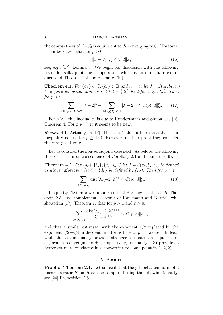the compactness of  $J-J_0$  is equivalent to  $d_k$  converging to 0. Moreover, it can be shown that for  $p > 0$ ,

$$
||J - J_0||_{s_p} \le 3||d||_{l^p},\tag{16}
$$

see, e.g., [17], Lemma 8. We begin our discussion with the following result for selfadjoint Jacobi operators, which is an immediate consequence of Theorem 2.2 and estimate (16).

**Theorem 4.1.** For  $\{a_k\} \subset \mathbb{C}, \{b_k\} \subset \mathbb{R}$  and  $c_k = \overline{a}_k$  let  $J = J(a_k, b_k, c_k)$ be defined as above. Moreover, let  $d = \{d_k\}$  be defined by (15). Then for  $p > 0$ 

$$
\sum_{\lambda \in \sigma_d(J), \lambda < -2} |\lambda + 2|^p + \sum_{\lambda \in \sigma_d(J), \lambda > 2} |\lambda - 2|^p \le C(p) \|d\|_{l^p}^p. \tag{17}
$$

For  $p \geq 1$  this inequality is due to Hundertmark and Simon, see [18] Theorem 4. For  $p \in (0,1)$  it seems to be new.

Remark 4.1. Actually, in [18], Theorem 4, the authors state that their inequality is true for  $p \geq 1/2$ . However, in their proof they consider the case  $p \geq 1$  only.

Let us consider the non-selfadjoint case next. As before, the following theorem is a direct consequence of Corollary 2.1 and estimate (16).

**Theorem 4.2.** For  $\{a_k\}, \{b_k\}, \{c_k\} \subset \mathbb{C}$  let  $J = J(a_k, b_k, c_k)$  be defined as above. Moreover, let  $d = \{d_k\}$  be defined by (15). Then for  $p \geq 1$ 

$$
\sum_{\lambda \in \sigma_d(J)} \text{dist}(\lambda, [-2, 2])^p \le C(p) \|d\|_{l^p}^p. \tag{18}
$$

Inequality (18) improves upon results of Borichev et al., see [5] Theorem 2.3, and complements a result of Hansmann and Katriel, who showed in [17], Theorem 1, that for  $p > 1$  and  $\varepsilon > 0$ ,

$$
\sum_{\lambda \in \sigma_d(J)} \frac{\text{dist}(\lambda, [-2, 2])^{p+\varepsilon}}{|\lambda^2 - 4|^{1/2}} \le C(p, \varepsilon) \|d\|_{l^p}^p,
$$

and that a similar estimate, with the exponent 1/2 replaced by the exponent  $1/2+\epsilon/4$  in the denominator, is true for  $p=1$  as well. Indeed, while the last inequality provides stronger estimates on sequences of eigenvalues converging to  $\pm 2$ , respectively, inequality (18) provides a better estimate on eigenvalues converging to some point in  $(-2, 2)$ .

## 5. Proofs

**Proof of Theorem 2.1.** Let us recall that the pth Schatten norm of a linear operator  $K$  on  $\mathcal H$  can be computed using the following identity, see [24] Proposition 2.6.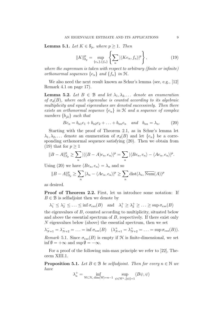**Lemma 5.1.** Let  $K \in \mathcal{S}_p$ , where  $p \geq 1$ . Then

$$
||K||_{\mathcal{S}_p}^p = \sup_{\{e_n\},\{f_n\}} \left\{ \sum_n |\langle Ke_n, f_n \rangle|^p \right\},\tag{19}
$$

where the supremum is taken with respect to arbitrary (finite or infinite) orthonormal sequences  $\{e_n\}$  and  $\{f_n\}$  in  $\mathfrak{H}$ .

We also need the next result known as Schur's lemma (see, e.g., [12] Remark 4.1 on page 17).

**Lemma 5.2.** Let  $B \in \mathcal{B}$  and let  $\lambda_1, \lambda_2, \ldots$  denote an enumeration of  $\sigma_d(B)$ , where each eigenvalue is counted according to its algebraic multiplicity and equal eigenvalues are denoted successively. Then there exists an orthonormal sequence  $\{e_n\}$  in  $H$  and a sequence of complex numbers  $\{b_{jk}\}\$  such that

$$
Be_n = b_{n1}e_1 + b_{n2}e_2 + \ldots + b_{nn}e_n \quad and \quad b_{nn} = \lambda_n. \tag{20}
$$

Starting with the proof of Theorem 2.1, as in Schur's lemma let  $\lambda_1, \lambda_2, \ldots$  denote an enumeration of  $\sigma_d(B)$  and let  $\{e_n\}$  be a corresponding orthonormal sequence satisfying (20). Then we obtain from (19) that for  $p > 1$ 

$$
||B - A||_{S_p}^p \ge \sum_n |\langle (B - A)e_n, e_n \rangle|^p = \sum_n |\langle Be_n, e_n \rangle - \langle Ae_n, e_n \rangle|^p.
$$

Using (20) we have  $\langle Be_n, e_n \rangle = \lambda_n$  and so

$$
||B - A||_{S_p}^p \ge \sum_n |\lambda_n - \langle Ae_n, e_n \rangle|^p \ge \sum_n \text{dist}(\lambda_n, \overline{\text{Num}}(A))^p
$$

as desired.

Proof of Theorem 2.2. First, let us introduce some notation: If  $B \in \mathcal{B}$  is selfadjoint then we denote by

$$
\lambda_1^- \leq \lambda_2^- \leq \ldots \leq \inf \sigma_{ess}(B)
$$
 and  $\lambda_1^+ \geq \lambda_2^+ \geq \ldots \geq \sup \sigma_{ess}(B)$ 

the eigenvalues of B, counted according to multiplicity, situated below and above the essential spectrum of B, respectively. If there exist only N eigenvalues below (above) the essential spectrum, then we set

 $\lambda_{N+1}^- = \lambda_{N+2}^- = \ldots = \inf \sigma_{ess}(B) \quad (\lambda_{N+1}^+ = \lambda_{N+2}^+ = \ldots = \sup \sigma_{ess}(B)).$ Remark 5.1. Since  $\sigma_{ess}(B)$  is empty if  $H$  is finite-dimensional, we set  $\inf \emptyset = +\infty$  and  $\sup \emptyset = -\infty$ .

For a proof of the following min-max principle we refer to [22], Theorem XIII.1.

**Proposition 5.1.** Let  $B \in \mathcal{B}$  be selfadjoint. Then for every  $n \in \mathbb{N}$  we have

$$
\lambda_n^+ = \inf_{\mathsf{W}\subset \mathcal{H}, \dim(\mathsf{W}) = n-1} \ \sup_{\psi \in \mathsf{W}^\perp, ||\psi|| = 1} \langle B\psi, \psi \rangle
$$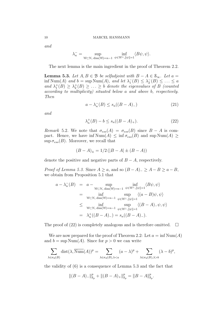and

$$
\lambda_n^- = \sup_{\mathcal{W} \subset \mathcal{H}, \dim(\mathcal{W}) = n-1} \inf_{\psi \in \mathcal{W}^\perp, \|\psi\|=1} \langle B\psi, \psi \rangle.
$$

The next lemma is the main ingredient in the proof of Theorem 2.2.

**Lemma 5.3.** Let  $A, B \in \mathcal{B}$  be selfadjoint with  $B - A \in \mathcal{S}_{\infty}$ . Let  $a =$ inf Num(A) and  $b = \sup \text{Num}(A)$ , and let  $\lambda_1^-(B) \leq \lambda_2^-(B) \leq \ldots \leq a$ and  $\lambda_1^+(B) \geq \lambda_2^+(B) \geq \ldots \geq b$  denote the eigenvalues of B (counted according to multiplicity) situated below a and above b, respectively. Then

$$
a - \lambda_n^{-}(B) \le s_n((B - A)_-)
$$
 (21)

and

$$
\lambda_n^+(B) - b \le s_n((B - A)_+). \tag{22}
$$

Remark 5.2. We note that  $\sigma_{ess}(A) = \sigma_{ess}(B)$  since  $B - A$  is compact. Hence, we have  $\text{inf Num}(A) \leq \text{inf }\sigma_{ess}(B)$  and  $\text{sup Num}(A) \geq$  $\sup \sigma_{ess}(B)$ . Moreover, we recall that

$$
(B - A)_{\pm} = 1/2 (|B - A| \pm (B - A))
$$

denote the positive and negative parts of  $B - A$ , respectively.

Proof of Lemma 5.3. Since  $A \ge a$ , and so  $(B - A)_{-} \ge A - B \ge a - B$ , we obtain from Proposition 5.1 that

$$
a - \lambda_n^{-}(B) = a - \sup_{\mathcal{W} \subset \mathcal{H}, \dim(\mathcal{W}) = n-1} \inf_{\psi \in \mathcal{W}^{\perp}, ||\psi|| = 1} \langle B\psi, \psi \rangle
$$
  
\n
$$
= \inf_{\mathcal{W} \subset \mathcal{H}, \dim(\mathcal{W}) = n-1} \sup_{\psi \in \mathcal{W}^{\perp}, ||\psi|| = 1} \langle (a - B)\psi, \psi \rangle
$$
  
\n
$$
\leq \inf_{\mathcal{W} \subset \mathcal{H}, \dim(\mathcal{W}) = n-1} \sup_{\psi \in \mathcal{W}^{\perp}, ||\psi|| = 1} \langle (B - A)_{-} \psi, \psi \rangle
$$
  
\n
$$
= \lambda_n^{+}((B - A)_{-}) = s_n((B - A)_{-}).
$$

The proof of (22) is completely analogous and is therefore omitted.  $\Box$ 

We are now prepared for the proof of Theorem 2.2: Let  $a = \inf Num(A)$ and  $b = \sup \text{Num}(A)$ . Since for  $p > 0$  we can write

$$
\sum_{\lambda \in \sigma_d(B)} \text{dist}(\lambda, \overline{\text{Num}}(A))^p = \sum_{\lambda \in \sigma_d(B), \lambda < a} (a - \lambda)^p + \sum_{\lambda \in \sigma_d(B), \lambda > b} (\lambda - b)^p,
$$

the validity of (6) is a consequence of Lemma 5.3 and the fact that

$$
\|(B-A)_{-}\|_{\mathcal{S}_p}^p+\|(B-A)_{+}\|_{\mathcal{S}_p}^p=\|B-A\|_{\mathcal{S}_p}^p.
$$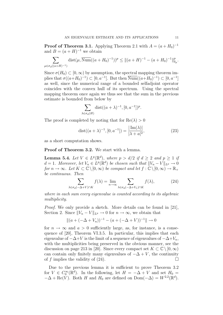**Proof of Theorem 3.1.** Applying Theorem 2.1 with  $A = (a + H_0)^{-1}$ and  $B = (a + H)^{-1}$  we obtain

$$
\sum_{\mu \in \sigma_d((a+H)^{-1})} \text{dist}(\mu, \overline{\text{Num}}((a+H_0)^{-1}))^p \le ||(a+H)^{-1} - (a+H_0)^{-1}||_{\mathcal{S}_p}^p.
$$

Since  $\sigma(H_0) \subset [0,\infty)$  by assumption, the spectral mapping theorem implies that  $\sigma((a+H_0)^{-1}) \subset [0, a^{-1}]$ . But then  $\overline{\text{Num}}((a+H_0)^{-1}) \subset [0, a^{-1}]$ as well, since the numerical range of a bounded selfadjoint operator coincides with the convex hull of its spectrum. Using the spectral mapping theorem once again we thus see that the sum in the previous estimate is bounded from below by

$$
\sum_{\lambda \in \sigma_d(H)} \text{dist}((a+\lambda)^{-1}, [0, a^{-1}])^p.
$$

The proof is completed by noting that for  $\text{Re}(\lambda) > 0$ 

$$
dist((a + \lambda)^{-1}, [0, a^{-1}]) = \frac{|\operatorname{Im}(\lambda)|}{|\lambda + a|^2},
$$
\n(23)

as a short computation shows.

Proof of Theorem 3.2. We start with a lemma.

**Lemma 5.4.** Let  $V \in L^p(\mathbb{R}^d)$ , where  $p > d/2$  if  $d \geq 2$  and  $p \geq 1$  if  $d=1$ . Moreover, let  $V_n \in L^p(\mathbb{R}^d)$  be chosen such that  $||V_n - V||_{L^p} \to 0$ for  $n \to \infty$ . Let  $K \subset \mathbb{C} \setminus [0,\infty)$  be compact and let  $f : \mathbb{C} \setminus [0,\infty) \to \mathbb{R}_+$ be continuous. Then

$$
\sum_{\lambda \in \sigma_d(-\Delta + V) \cap K} f(\lambda) = \lim_{n \to \infty} \sum_{\lambda \in \sigma_d(-\Delta + V_n) \cap K} f(\lambda), \tag{24}
$$

where in each sum every eigenvalue is counted according to its algebraic multiplicity.

Proof. We only provide a sketch. More details can be found in [21], Section 2. Since  $||V_n - V||_{L^p} \to 0$  for  $n \to \infty$ , we obtain that

$$
||(a + (-\Delta + V_n))^{-1} - (a + (-\Delta + V))^{-1}|| \to 0
$$

for  $n \to \infty$  and  $a > 0$  sufficiently large, as, for instance, is a consequence of [20], Theorem VI.3.5. In particular, this implies that each eigenvalue of  $-\Delta+V$  is the limit of a sequence of eigenvalues of  $-\Delta+V_n$ , with the multiplicities being preserved in the obvious manner, see the discussion on page 213 in [20]. Since every compact set  $K \subset \mathbb{C} \setminus [0,\infty)$ can contain only finitely many eigenvalues of  $-\Delta + V$ , the continuity of f implies the validity of (24).

Due to the previous lemma it is sufficient to prove Theorem 3.2 for  $V \in C_0^{\infty}(\mathbb{R}^d)$ . In the following, let  $H = -\Delta + V$  and set  $H_0 =$  $-\Delta + \text{Re}(V)$ . Both H and  $H_0$  are defined on Dom $(-\Delta) = W^{2,2}(\mathbb{R}^d)$ .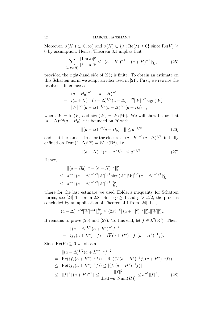Moreover,  $\sigma(H_0) \subset [0,\infty)$  and  $\sigma(H) \subset {\lambda : \text{Re}(\lambda) \geq 0}$  since  $\text{Re}(V) \geq$ 0 by assumption. Hence, Theorem 3.1 implies that

$$
\sum_{\lambda \in \sigma_d(H)} \frac{|\operatorname{Im}(\lambda)|^p}{|\lambda + a|^{2p}} \le ||(a + H_0)^{-1} - (a + H)^{-1}||_{s_p}^p,\tag{25}
$$

provided the right-hand side of (25) is finite. To obtain an estimate on this Schatten norm we adapt an idea used in [21]. First, we rewrite the resolvent difference as

$$
(a+H_0)^{-1} - (a+H)^{-1}
$$
  
=  $i(a+H)^{-1}(a-\Delta)^{1/2}(a-\Delta)^{-1/2}|W|^{1/2}\text{sign}(W)$   

$$
|W|^{1/2}(a-\Delta)^{-1/2}(a-\Delta)^{1/2}(a+H_0)^{-1},
$$

where  $W = \text{Im}(V)$  and  $\text{sign}(W) = W/|W|$ . We will show below that  $(a - \Delta)^{1/2} (a + H_0)^{-1}$  is bounded on H with

$$
\|(a - \Delta)^{1/2}(a + H_0)^{-1}\| \le a^{-1/2} \tag{26}
$$

and that the same is true for the closure of  $(a+H)^{-1}(a-\Delta)^{1/2}$ , initially defined on  $Dom((-\Delta)^{1/2}) = W^{1,2}(\mathbb{R}^d)$ , i.e.,

$$
\|\overline{(a+H)^{-1}(a-\Delta)^{1/2}}\| \le a^{-1/2}.\tag{27}
$$

Hence,

$$
\|(a+H_0)^{-1} - (a+H)^{-1}\|_{\mathcal{S}_p}^p
$$
  
\n
$$
\leq a^{-p} \|(a-\Delta)^{-1/2}|W|^{1/2} \operatorname{sign}(W)|W|^{1/2}(a-\Delta)^{-1/2}\|_{\mathcal{S}_p}^p
$$
  
\n
$$
\leq a^{-p} \|(a-\Delta)^{-1/2}|W|^{1/2}\|_{\mathcal{S}_{2p}}^{2p},
$$

where for the last estimate we used Hölder's inequality for Schatten norms, see [24] Theorem 2.8. Since  $p \ge 1$  and  $p > d/2$ , the proof is concluded by an application of Theorem 4.1 from [24], i.e.,

$$
\|(a-\Delta)^{-1/2}|W|^{1/2}\|_{\mathcal{S}_{2p}}^{2p} \le (2\pi)^{-d} \|(a+|.|^2)^{-1}\|_{L^p}^p \|W\|_{L^p}^p.
$$

It remains to prove (26) and (27). To this end, let  $f \in L^2(\mathbb{R}^d)$ . Then

$$
\|(a - \Delta)^{1/2}(a + H^*)^{-1}f\|^2
$$
  
=  $\langle f, (a + H^*)^{-1}f \rangle - \langle \overline{V}(a + H^*)^{-1}f, (a + H^*)^{-1}f \rangle.$ 

Since  $\text{Re}(V) \geq 0$  we obtain

$$
\| (a - \Delta)^{1/2} (a + H^*)^{-1} f \|^2
$$
\n
$$
= \text{Re}(\langle f, (a + H^*)^{-1} f \rangle) - \text{Re}(\langle \overline{V}(a + H^*)^{-1} f, (a + H^*)^{-1} f \rangle)
$$
\n
$$
\leq \text{Re}(\langle f, (a + H^*)^{-1} f \rangle) \leq |\langle f, (a + H^*)^{-1} f \rangle|
$$
\n
$$
\leq \|f\|^2 \|(a + H)^{-1}\| \leq \frac{\|f\|^2}{\text{dist}(-a, \overline{\text{Num}}(H))} \leq a^{-1} \|f\|^2, \qquad (28)
$$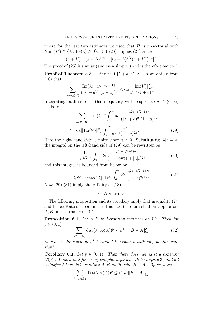where for the last two estimates we used that  $H$  is m-sectorial with  $\overline{\text{Num}}(H) \subset \{\lambda : \text{Re}(\lambda) \geq 0\}$ . But (28) implies (27) since

$$
\overline{(a+H)^{-1}(a-\Delta)^{1/2}} = [(a-\Delta)^{1/2}(a+H^*)^{-1}]^*.
$$

The proof of (26) is similar (and even simpler) and is therefore omitted.

**Proof of Theorem 3.3.** Using that  $|\lambda + a| \leq |\lambda| + a$  we obtain from  $(10)$  that

$$
\sum_{\lambda \in \sigma_d(H)} \frac{|\operatorname{Im}(\lambda)|^p a^{2p-d/2-1+\kappa}}{(|\lambda|+a)^{2p}(1+a)^{2\kappa}} \le C_0 \frac{\|\operatorname{Im}(V)\|_{L^p}^p}{a^{1-\kappa}(1+a)^{2\kappa}}.
$$

Integrating both sides of this inequality with respect to  $a \in (0,\infty)$ leads to

$$
\sum_{\lambda \in \sigma_d(H)} |\operatorname{Im}(\lambda)|^p \int_0^\infty da \, \frac{a^{2p - d/2 - 1 + \kappa}}{(|\lambda| + a)^{2p} (1 + a)^{2\kappa}}
$$
  
 
$$
\leq C_0 ||\operatorname{Im}(V)||_{L^p}^p \int_0^\infty \frac{da}{a^{1 - \kappa} (1 + a)^{2\kappa}}.
$$
 (29)

Here the right-hand side is finite since  $\kappa > 0$ . Substituting  $|\lambda|s = a$ , the integral on the left-hand side of (29) can be rewritten as

$$
\frac{1}{|\lambda|^{d/2-\kappa}} \int_0^\infty ds \, \frac{s^{2p-d/2-1+\kappa}}{(1+s)^{2p}(1+|\lambda|s)^{2\kappa}} \tag{30}
$$

and this integral is bounded from below by

$$
\frac{1}{|\lambda|^{d/2-\kappa} \max(|\lambda|, 1)^{2\kappa}} \int_0^\infty ds \, \frac{s^{2p-d/2-1+\kappa}}{(1+s)^{2p+2\kappa}}.
$$
(31)

Now  $(29)-(31)$  imply the validity of  $(13)$ .

#### 6. Appendix

The following proposition and its corollary imply that inequality (2), and hence Kato's theorem, need not be true for selfadjoint operators A, B in case that  $p \in (0,1)$ .

**Proposition 6.1.** Let  $A, B$  be hermitian matrices on  $\mathbb{C}^n$ . Then for  $p \in (0, 1)$ 

$$
\sum_{\lambda \in \sigma_d(B)} \text{dist}(\lambda, \sigma_d(A))^p \le n^{1-p} \|B - A\|_{\mathcal{S}_p}^p. \tag{32}
$$

Moreover, the constant  $n^{1-p}$  cannot be replaced with any smaller constant.

**Corollary 6.1.** Let  $p \in (0,1)$ . Then there does not exist a constant  $C(p) > 0$  such that for every complex separable Hilbert space  $\mathcal H$  and all selfadjoint bounded operators A, B on  $\mathcal H$  with  $B - A \in \mathcal S_p$  we have

$$
\sum_{\lambda \in \sigma_d(B)} \text{dist}(\lambda, \sigma(A))^p \le C(p) \|B - A\|_{\mathcal{S}_p}^p.
$$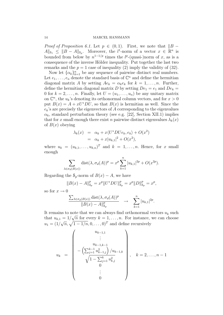*Proof of Proposition 6.1.* Let  $p \in (0,1)$ . First, we note that  $||B A\|_{s_1} \leq \|B - A\|_{s_p}$ . Moreover, the l<sup>1</sup>-norm of a vector  $x \in \mathbb{R}^n$  is bounded from below by  $n^{1-1/p}$  times the  $l^p$ -(quasi-)norm of x, as is a consequence of the inverse Hölder inequality. Put together the last two remarks and the  $p = 1$  case of inequality (2) imply the validity of (32).

Now let  $\{\alpha_k\}_{k=1}^n$  be any sequence of pairwise distinct real numbers. Let  $e_1, \ldots, e_n$  denote the standard basis of  $\mathbb{C}^n$  and define the hermitian diagonal matrix A by setting  $Ae_k = \alpha_k e_k$  for  $k = 1, \ldots, n$ . Further, define the hermitian diagonal matrix D by setting  $De_1 = e_1$  and  $De_k =$ 0 for  $k = 2, \ldots, n$ . Finally, let  $U = (u_1, \ldots, u_n)$  be any unitary matrix on  $\mathbb{C}^n$ , the  $u_k$ 's denoting its orthonormal column vectors, and for  $x > 0$ put  $B(x) = A + xU^*DU$ , so that  $B(x)$  is hermitian as well. Since the  $e_k$ 's are precisely the eigenvectors of A corresponding to the eigenvalues  $\alpha_k$ , standard perturbation theory (see e.g. [22], Section XII.1) implies that for x small enough there exist n pairwise distinct eigenvalues  $\lambda_k(x)$ of  $B(x)$  obeying

$$
\lambda_k(x) = \alpha_k + x \langle U^* D U e_k, e_k \rangle + O(x^2)
$$
  
=  $\alpha_k + x |u_{k,1}|^2 + O(x^2)$ ,

where  $u_k = (u_{k,1}, \ldots, u_{k,n})^T$  and  $k = 1, \ldots, n$ . Hence, for x small enough

$$
\sum_{\lambda \in \sigma_d(B(x))} \text{dist}(\lambda, \sigma_d(A))^p = x^p \sum_{k=1}^n |u_{k,1}|^{2p} + O(x^{2p}).
$$

Regarding the  $S_p$ -norm of  $B(x) - A$ , we have

$$
||B(x) - A||_{\mathcal{S}_p}^p = x^p ||U^*DU||_{\mathcal{S}_p}^p = x^p ||D||_{\mathcal{S}_p}^p = x^p,
$$

so for  $x \to 0$ 

$$
\frac{\sum_{\lambda \in \sigma_d(B(x))} \text{dist}(\lambda, \sigma_d(A))^p}{\|B(x) - A\|_{S_p}^p} \rightarrow \sum_{k=1}^n |u_{k,1}|^{2p}.
$$

It remains to note that we can always find orthonormal vectors  $u_k$  such that  $u_{k,1} = 1/$ √  $\overline{n}$  for every  $k = 1, \ldots, n$ . For instance, we can choose  $u_1 = (1/$  $\sqrt{n}, \sqrt{1-1/n}, 0, \ldots, 0)^T$  and define recursively

$$
u_{k} = \begin{pmatrix} u_{k-1,1} & & & \\ \vdots & & & \\ u_{k-1,k-1} & & \\ -\left(\sum_{j=1}^{k-1} u_{k-1,j}^{2}\right) / u_{k-1,k} & & \\ \sqrt{1 - \sum_{j=1}^{k} u_{k,j}^{2}} & & \\ 0 & & & \\ & & \vdots & \\ 0 & & & \end{pmatrix}, \quad k = 2, \ldots, n-1
$$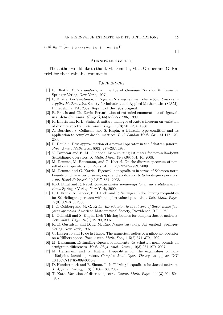and  $u_n = (u_{n-1,1}, \ldots, u_{n-1,n-1}, -u_{n-1,n})^T$ .

#### **ACKNOWLEDGMENTS**

The author would like to thank M. Demuth, M. J. Gruber and G. Katriel for their valuable comments.

#### **REFERENCES**

- [1] R. Bhatia. Matrix analysis, volume 169 of Graduate Texts in Mathematics. Springer-Verlag, New York, 1997.
- [2] R. Bhatia. Perturbation bounds for matrix eigenvalues, volume 53 of Classics in Applied Mathematics. Society for Industrial and Applied Mathematics (SIAM), Philadelphia, PA, 2007. Reprint of the 1987 original.
- [3] R. Bhatia and Ch. Davis. Perturbation of extended enumerations of eigenvalues. Acta Sci. Math. (Szeged), 65(1-2):277–286, 1999.
- [4] R. Bhatia and K. B. Sinha. A unitary analogue of Kato's theorem on variation of discrete spectra. Lett. Math. Phys., 15(3):201–204, 1988.
- [5] A. Borichev, S. Golinskii, and S. Kupin. A Blaschke-type condition and its application to complex Jacobi matrices. Bull. London Math. Soc., 41:117–123, 2009.
- [6] R. Bouldin. Best approximation of a normal operator in the Schatten p-norm. Proc. Amer. Math. Soc., 80(2):277–282, 1980.
- [7] V. Bruneau and E. M. Ouhabaz. Lieb-Thirring estimates for non-self-adjoint Schrödinger operators. J. Math. Phys., 49(9):093504, 10, 2008.
- [8] M. Demuth, M. Hansmann, and G. Katriel. On the discrete spectrum of nonselfadjoint operators. J. Funct. Anal., 257:2742–2759, 2009.
- [9] M. Demuth and G. Katriel. Eigenvalue inequalities in terms of Schatten norm bounds on differences of semigroups, and application to Schrödinger operators. Ann. Henri Poincaré, 9(4):817-834, 2008.
- [10] K.-J. Engel and R. Nagel. One-parameter semigroups for linear evolution equations. Springer-Verlag, New York, 2000.
- [11] R. L. Frank, A. Laptev, E. H. Lieb, and R. Seiringer. Lieb-Thirring inequalities for Schrödinger operators with complex-valued potentials. Lett. Math. Phys., 77(3):309–316, 2006.
- [12] I. C. Gohberg and M. G. Krein. Introduction to the theory of linear nonselfadjoint operators. American Mathematical Society, Providence, R.I., 1969.
- [13] L. Golinskii and S. Kupin. Lieb-Thirring bounds for complex Jacobi matrices. Lett. Math. Phys., 82(1):79–90, 2007.
- [14] K. E. Gustafson and D. K. M. Rao. Numerical range. Universitext. Springer-Verlag, New York, 1997.
- [15] U. Haagerup and P. de la Harpe. The numerical radius of a nilpotent operator on a Hilbert space. Proc. Amer. Math. Soc., 115(2):371–379, 1992.
- [16] M. Hansmann. Estimating eigenvalue moments via Schatten norm bounds on semigroup differences. Math. Phys. Anal. Geom., 10(3):261–270, 2007.
- [17] M. Hansmann and G. Katriel. Inequalities for the eigenvalues of nonselfadjoint Jacobi operators. Complex Anal. Oper. Theory, to appear. DOI 10.1007/s11785-009-0040-2.
- [18] D. Hundertmark and B. Simon. Lieb-Thirring inequalities for Jacobi matrices. J. Approx. Theory, 118(1):106–130, 2002.
- [19] T. Kato. Variation of discrete spectra. Comm. Math. Phys., 111(3):501–504, 1987.

 $\Box$